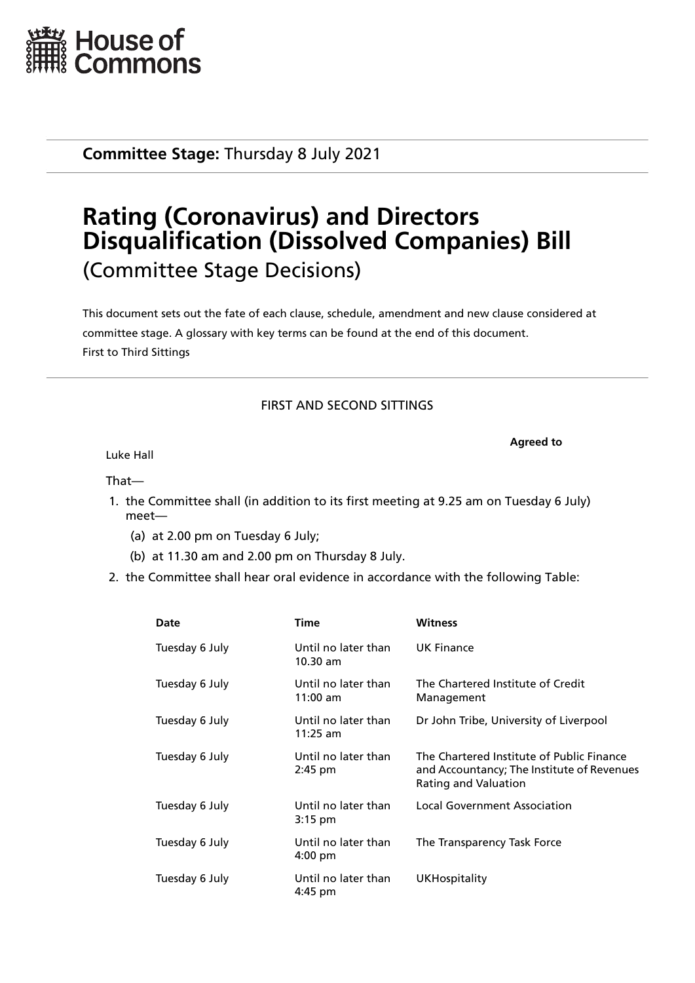

**Committee Stage:** Thursday 8 July 2021

# **Rating (Coronavirus) and Directors Disqualification (Dissolved Companies) Bill** (Committee Stage Decisions)

This document sets out the fate of each clause, schedule, amendment and new clause considered at committee stage. A glossary with key terms can be found at the end of this document. First to Third Sittings

# FIRST AND SECOND SITTINGS

**Agreed to**

Luke Hall

That—

- 1. the Committee shall (in addition to its first meeting at 9.25 am on Tuesday 6 July) meet—
	- (a) at 2.00 pm on Tuesday 6 July;
	- (b) at 11.30 am and 2.00 pm on Thursday 8 July.
- 2. the Committee shall hear oral evidence in accordance with the following Table:

| Date           | <b>Time</b>                              | <b>Witness</b>                                                                                                  |
|----------------|------------------------------------------|-----------------------------------------------------------------------------------------------------------------|
| Tuesday 6 July | Until no later than<br>10.30 am          | <b>UK Finance</b>                                                                                               |
| Tuesday 6 July | Until no later than<br>$11:00$ am        | The Chartered Institute of Credit<br>Management                                                                 |
| Tuesday 6 July | Until no later than<br>$11:25$ am        | Dr John Tribe, University of Liverpool                                                                          |
| Tuesday 6 July | Until no later than<br>$2:45$ pm         | The Chartered Institute of Public Finance<br>and Accountancy; The Institute of Revenues<br>Rating and Valuation |
| Tuesday 6 July | Until no later than<br>$3:15$ pm         | <b>Local Government Association</b>                                                                             |
| Tuesday 6 July | Until no later than<br>$4:00 \text{ pm}$ | The Transparency Task Force                                                                                     |
| Tuesday 6 July | Until no later than<br>4:45 pm           | <b>UKHospitality</b>                                                                                            |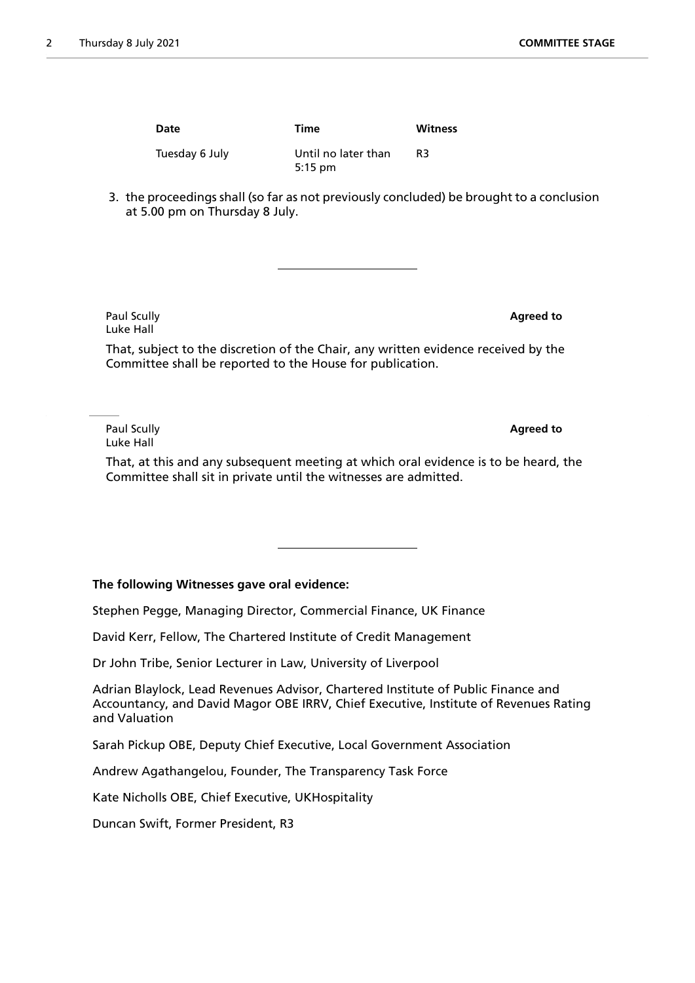| Date           | <b>Time</b>         | Witness |
|----------------|---------------------|---------|
| Tuesday 6 July | Until no later than | R3      |
|                | $5:15$ pm           |         |

3. the proceedings shall (so far as not previously concluded) be brought to a conclusion at 5.00 pm on Thursday 8 July.

Paul Scully **Agreed to** Luke Hall

That, subject to the discretion of the Chair, any written evidence received by the Committee shall be reported to the House for publication.

Paul Scully **Agreed to** Luke Hall

That, at this and any subsequent meeting at which oral evidence is to be heard, the Committee shall sit in private until the witnesses are admitted.

# **The following Witnesses gave oral evidence:**

Stephen Pegge, Managing Director, Commercial Finance, UK Finance

David Kerr, Fellow, The Chartered Institute of Credit Management

Dr John Tribe, Senior Lecturer in Law, University of Liverpool

Adrian Blaylock, Lead Revenues Advisor, Chartered Institute of Public Finance and Accountancy, and David Magor OBE IRRV, Chief Executive, Institute of Revenues Rating and Valuation

Sarah Pickup OBE, Deputy Chief Executive, Local Government Association

Andrew Agathangelou, Founder, The Transparency Task Force

Kate Nicholls OBE, Chief Executive, UKHospitality

Duncan Swift, Former President, R3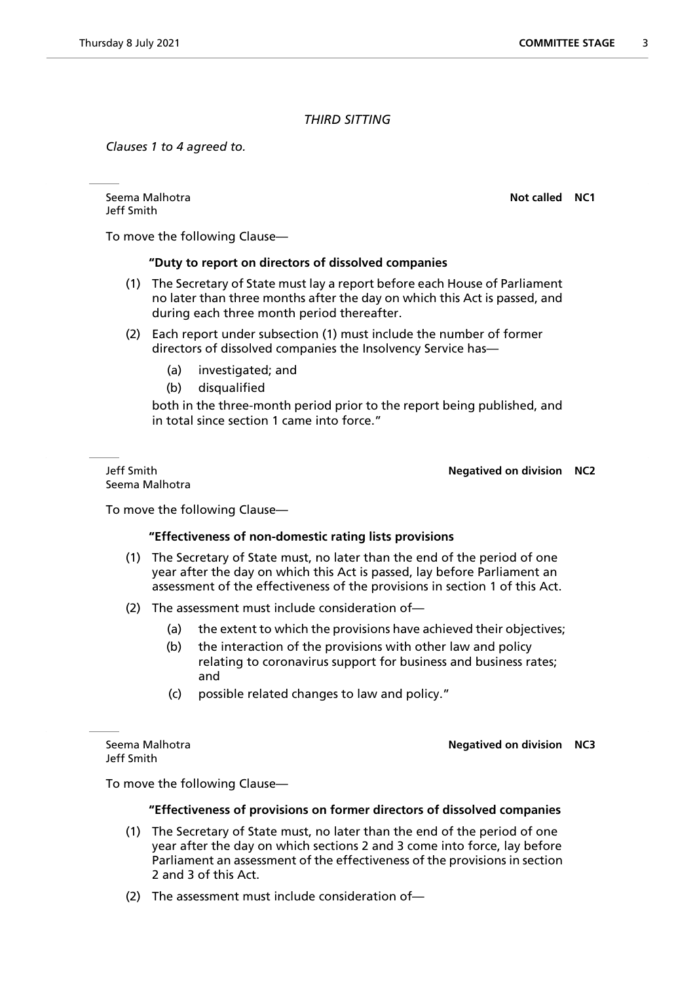# *THIRD SITTING*

*Clauses 1 to 4 agreed to.*

Seema Malhotra **Not called NC1** Jeff Smith

To move the following Clause—

#### **"Duty to report on directors of dissolved companies**

- (1) The Secretary of State must lay a report before each House of Parliament no later than three months after the day on which this Act is passed, and during each three month period thereafter.
- (2) Each report under subsection (1) must include the number of former directors of dissolved companies the Insolvency Service has—
	- (a) investigated; and
	- (b) disqualified

both in the three-month period prior to the report being published, and in total since section 1 came into force."

Seema Malhotra

Jeff Smith **Negatived on division NC2**

To move the following Clause—

# **"Effectiveness of non-domestic rating lists provisions**

- (1) The Secretary of State must, no later than the end of the period of one year after the day on which this Act is passed, lay before Parliament an assessment of the effectiveness of the provisions in section 1 of this Act.
- (2) The assessment must include consideration of—
	- (a) the extent to which the provisions have achieved their objectives;
	- (b) the interaction of the provisions with other law and policy relating to coronavirus support for business and business rates; and
	- (c) possible related changes to law and policy."

Jeff Smith

Seema Malhotra **Negatived on division NC3**

To move the following Clause—

#### **"Effectiveness of provisions on former directors of dissolved companies**

- (1) The Secretary of State must, no later than the end of the period of one year after the day on which sections 2 and 3 come into force, lay before Parliament an assessment of the effectiveness of the provisions in section 2 and 3 of this Act.
- (2) The assessment must include consideration of—